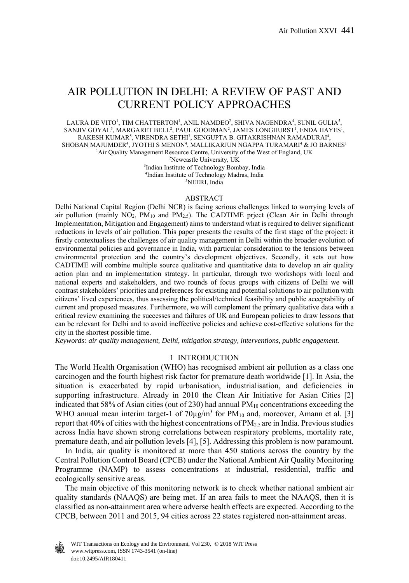# AIR POLLUTION IN DELHI: A REVIEW OF PAST AND CURRENT POLICY APPROACHES

LAURA DE VITO<sup>1</sup>, TIM CHATTERTON<sup>1</sup>, ANIL NAMDEO<sup>2</sup>, SHIVA NAGENDRA<sup>4</sup>, SUNIL GULIA<sup>5</sup>, SANJIV GOYAL<sup>5</sup>, MARGARET BELL<sup>2</sup>, PAUL GOODMAN<sup>2</sup>, JAMES LONGHURST<sup>1</sup>, ENDA HAYES<sup>1</sup>,  $\mathsf{RAKESH}\;$ KUMAR $^5$ , VIRENDRA SETHI $^3$ , SENGUPTA B. GITAKRISHNAN RAMADURAI $^4$ , SHOBAN MAJUMDER<sup>4</sup>, JYOTHI S MENON<sup>4</sup>, MALLIKARJUN NGAPPA TURAMARI<sup>4</sup> & JO BARNES<sup>1</sup> <sup>1</sup>Air Quality Management Resource Centre, University of the West of England, UK <sup>2</sup>Newcostle University UK  $^{2}$ Newcastle University, UK<br> $^{3}$ Indian Institute of Technology Bomb Indian Institute of Technology Bombay, India<br><sup>4</sup>Indian Institute of Technology Madres, India <sup>4</sup>Indian Institute of Technology Madras, India

NEERI, India

#### ABSTRACT

Delhi National Capital Region (Delhi NCR) is facing serious challenges linked to worrying levels of air pollution (mainly NO2, PM10 and PM2.5). The CADTIME prject (Clean Air in Delhi through Implementation, Mitigation and Engagement) aims to understand what is required to deliver significant reductions in levels of air pollution. This paper presents the results of the first stage of the project: it firstly contextualises the challenges of air quality management in Delhi within the broader evolution of environmental policies and governance in India, with particular consideration to the tensions between environmental protection and the country's development objectives. Secondly, it sets out how CADTIME will combine multiple source qualitative and quantitative data to develop an air quality action plan and an implementation strategy. In particular, through two workshops with local and national experts and stakeholders, and two rounds of focus groups with citizens of Delhi we will contrast stakeholders' priorities and preferences for existing and potential solutions to air pollution with citizens' lived experiences, thus assessing the political/technical feasibility and public acceptability of current and proposed measures. Furthermore, we will complement the primary qualitative data with a critical review examining the successes and failures of UK and European policies to draw lessons that can be relevant for Delhi and to avoid ineffective policies and achieve cost-effective solutions for the city in the shortest possible time.

*Keywords: air quality management, Delhi, mitigation strategy, interventions, public engagement.* 

#### 1 INTRODUCTION

The World Health Organisation (WHO) has recognised ambient air pollution as a class one carcinogen and the fourth highest risk factor for premature death worldwide [1]. In Asia, the situation is exacerbated by rapid urbanisation, industrialisation, and deficiencies in supporting infrastructure. Already in 2010 the Clean Air Initiative for Asian Cities [2] indicated that 58% of Asian cities (out of 230) had annual  $PM_{10}$  concentrations exceeding the WHO annual mean interim target-1 of  $70\mu g/m^3$  for PM<sub>10</sub> and, moreover, Amann et al. [3] report that  $40\%$  of cities with the highest concentrations of  $PM_{2.5}$  are in India. Previous studies across India have shown strong correlations between respiratory problems, mortality rate, premature death, and air pollution levels [4], [5]. Addressing this problem is now paramount.

 In India, air quality is monitored at more than 450 stations across the country by the Central Pollution Control Board (CPCB) under the National Ambient Air Quality Monitoring Programme (NAMP) to assess concentrations at industrial, residential, traffic and ecologically sensitive areas.

 The main objective of this monitoring network is to check whether national ambient air quality standards (NAAQS) are being met. If an area fails to meet the NAAQS, then it is classified as non-attainment area where adverse health effects are expected. According to the CPCB, between 2011 and 2015, 94 cities across 22 states registered non-attainment areas.

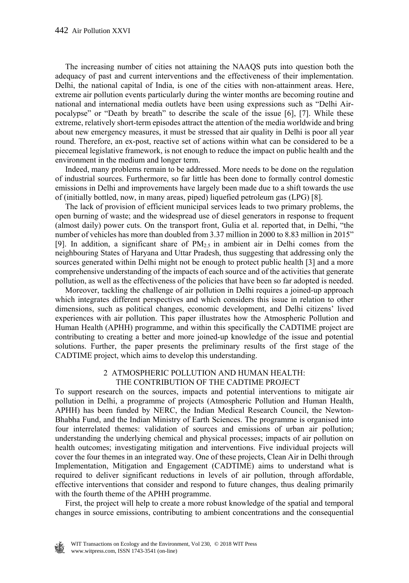The increasing number of cities not attaining the NAAQS puts into question both the adequacy of past and current interventions and the effectiveness of their implementation. Delhi, the national capital of India, is one of the cities with non-attainment areas. Here, extreme air pollution events particularly during the winter months are becoming routine and national and international media outlets have been using expressions such as "Delhi Airpocalypse" or "Death by breath" to describe the scale of the issue [6], [7]. While these extreme, relatively short-term episodes attract the attention of the media worldwide and bring about new emergency measures, it must be stressed that air quality in Delhi is poor all year round. Therefore, an ex-post, reactive set of actions within what can be considered to be a piecemeal legislative framework, is not enough to reduce the impact on public health and the environment in the medium and longer term.

 Indeed, many problems remain to be addressed. More needs to be done on the regulation of industrial sources. Furthermore, so far little has been done to formally control domestic emissions in Delhi and improvements have largely been made due to a shift towards the use of (initially bottled, now, in many areas, piped) liquefied petroleum gas (LPG) [8].

 The lack of provision of efficient municipal services leads to two primary problems, the open burning of waste; and the widespread use of diesel generators in response to frequent (almost daily) power cuts. On the transport front, Gulia et al. reported that, in Delhi, "the number of vehicles has more than doubled from 3.37 million in 2000 to 8.83 million in 2015" [9]. In addition, a significant share of  $PM_{2.5}$  in ambient air in Delhi comes from the neighbouring States of Haryana and Uttar Pradesh, thus suggesting that addressing only the sources generated within Delhi might not be enough to protect public health [3] and a more comprehensive understanding of the impacts of each source and of the activities that generate pollution, as well as the effectiveness of the policies that have been so far adopted is needed.

 Moreover, tackling the challenge of air pollution in Delhi requires a joined-up approach which integrates different perspectives and which considers this issue in relation to other dimensions, such as political changes, economic development, and Delhi citizens' lived experiences with air pollution. This paper illustrates how the Atmospheric Pollution and Human Health (APHH) programme, and within this specifically the CADTIME project are contributing to creating a better and more joined-up knowledge of the issue and potential solutions. Further, the paper presents the preliminary results of the first stage of the CADTIME project, which aims to develop this understanding.

# 2 ATMOSPHERIC POLLUTION AND HUMAN HEALTH: THE CONTRIBUTION OF THE CADTIME PROJECT

To support research on the sources, impacts and potential interventions to mitigate air pollution in Delhi, a programme of projects (Atmospheric Pollution and Human Health, APHH) has been funded by NERC, the Indian Medical Research Council, the Newton-Bhabha Fund, and the Indian Ministry of Earth Sciences. The programme is organised into four interrelated themes: validation of sources and emissions of urban air pollution; understanding the underlying chemical and physical processes; impacts of air pollution on health outcomes; investigating mitigation and interventions. Five individual projects will cover the four themes in an integrated way. One of these projects, Clean Air in Delhi through Implementation, Mitigation and Engagement (CADTIME) aims to understand what is required to deliver significant reductions in levels of air pollution, through affordable, effective interventions that consider and respond to future changes, thus dealing primarily with the fourth theme of the APHH programme.

 First, the project will help to create a more robust knowledge of the spatial and temporal changes in source emissions, contributing to ambient concentrations and the consequential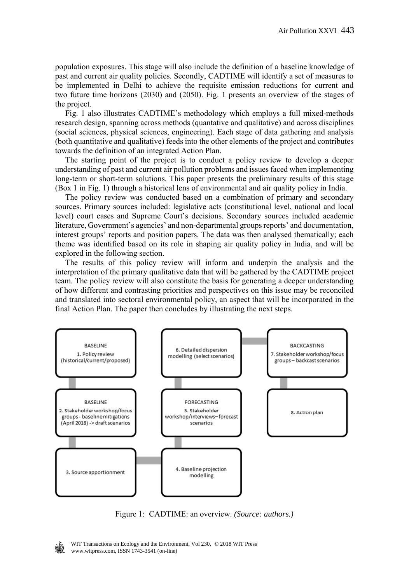population exposures. This stage will also include the definition of a baseline knowledge of past and current air quality policies. Secondly, CADTIME will identify a set of measures to be implemented in Delhi to achieve the requisite emission reductions for current and two future time horizons (2030) and (2050). Fig. 1 presents an overview of the stages of the project.

 Fig. 1 also illustrates CADTIME's methodology which employs a full mixed-methods research design, spanning across methods (quantative and qualitative) and across disciplines (social sciences, physical sciences, engineering). Each stage of data gathering and analysis (both quantitative and qualitative) feeds into the other elements of the project and contributes towards the definition of an integrated Action Plan.

 The starting point of the project is to conduct a policy review to develop a deeper understanding of past and current air pollution problems and issues faced when implementing long-term or short-term solutions. This paper presents the preliminary results of this stage (Box 1 in Fig. 1) through a historical lens of environmental and air quality policy in India.

 The policy review was conducted based on a combination of primary and secondary sources. Primary sources included: legislative acts (constitutional level, national and local level) court cases and Supreme Court's decisions. Secondary sources included academic literature, Government's agencies' and non-departmental groups reports' and documentation, interest groups' reports and position papers. The data was then analysed thematically; each theme was identified based on its role in shaping air quality policy in India, and will be explored in the following section.

 The results of this policy review will inform and underpin the analysis and the interpretation of the primary qualitative data that will be gathered by the CADTIME project team. The policy review will also constitute the basis for generating a deeper understanding of how different and contrasting priorities and perspectives on this issue may be reconciled and translated into sectoral environmental policy, an aspect that will be incorporated in the final Action Plan. The paper then concludes by illustrating the next steps.



Figure 1: CADTIME: an overview. *(Source: authors.)*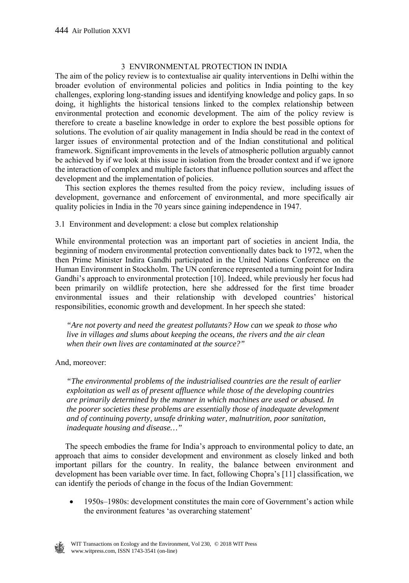# 3 ENVIRONMENTAL PROTECTION IN INDIA

The aim of the policy review is to contextualise air quality interventions in Delhi within the broader evolution of environmental policies and politics in India pointing to the key challenges, exploring long-standing issues and identifying knowledge and policy gaps. In so doing, it highlights the historical tensions linked to the complex relationship between environmental protection and economic development. The aim of the policy review is therefore to create a baseline knowledge in order to explore the best possible options for solutions. The evolution of air quality management in India should be read in the context of larger issues of environmental protection and of the Indian constitutional and political framework. Significant improvements in the levels of atmospheric pollution arguably cannot be achieved by if we look at this issue in isolation from the broader context and if we ignore the interaction of complex and multiple factors that influence pollution sources and affect the development and the implementation of policies.

 This section explores the themes resulted from the poicy review, including issues of development, governance and enforcement of environmental, and more specifically air quality policies in India in the 70 years since gaining independence in 1947.

#### 3.1 Environment and development: a close but complex relationship

While environmental protection was an important part of societies in ancient India, the beginning of modern environmental protection conventionally dates back to 1972, when the then Prime Minister Indira Gandhi participated in the United Nations Conference on the Human Environment in Stockholm. The UN conference represented a turning point for Indira Gandhi's approach to environmental protection [10]. Indeed, while previously her focus had been primarily on wildlife protection, here she addressed for the first time broader environmental issues and their relationship with developed countries' historical responsibilities, economic growth and development. In her speech she stated:

*"Are not poverty and need the greatest pollutants? How can we speak to those who live in villages and slums about keeping the oceans, the rivers and the air clean when their own lives are contaminated at the source?"* 

# And, moreover:

*"The environmental problems of the industrialised countries are the result of earlier exploitation as well as of present affluence while those of the developing countries are primarily determined by the manner in which machines are used or abused. In the poorer societies these problems are essentially those of inadequate development and of continuing poverty, unsafe drinking water, malnutrition, poor sanitation, inadequate housing and disease…"* 

 The speech embodies the frame for India's approach to environmental policy to date, an approach that aims to consider development and environment as closely linked and both important pillars for the country. In reality, the balance between environment and development has been variable over time. In fact, following Chopra's [11] classification, we can identify the periods of change in the focus of the Indian Government:

 1950s–1980s: development constitutes the main core of Government's action while the environment features 'as overarching statement'

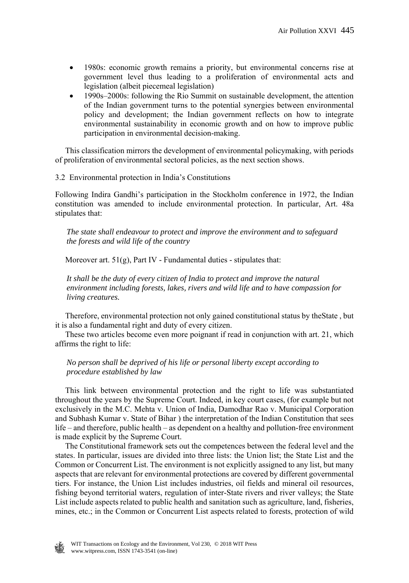- 1980s: economic growth remains a priority, but environmental concerns rise at government level thus leading to a proliferation of environmental acts and legislation (albeit piecemeal legislation)
- 1990s–2000s: following the Rio Summit on sustainable development, the attention of the Indian government turns to the potential synergies between environmental policy and development; the Indian government reflects on how to integrate environmental sustainability in economic growth and on how to improve public participation in environmental decision-making.

 This classification mirrors the development of environmental policymaking, with periods of proliferation of environmental sectoral policies, as the next section shows.

# 3.2 Environmental protection in India's Constitutions

Following Indira Gandhi's participation in the Stockholm conference in 1972, the Indian constitution was amended to include environmental protection. In particular, Art. 48a stipulates that:

*The state shall endeavour to protect and improve the environment and to safeguard the forests and wild life of the country* 

Moreover art.  $51(g)$ , Part IV - Fundamental duties - stipulates that:

*It shall be the duty of every citizen of India to protect and improve the natural environment including forests, lakes, rivers and wild life and to have compassion for living creatures.* 

 Therefore, environmental protection not only gained constitutional status by theState , but it is also a fundamental right and duty of every citizen.

 These two articles become even more poignant if read in conjunction with art. 21, which affirms the right to life:

*No person shall be deprived of his life or personal liberty except according to procedure established by law* 

 This link between environmental protection and the right to life was substantiated throughout the years by the Supreme Court. Indeed, in key court cases, (for example but not exclusively in the M.C. Mehta v. Union of India, Damodhar Rao v. Municipal Corporation and Subhash Kumar v. State of Bihar ) the interpretation of the Indian Constitution that sees life – and therefore, public health – as dependent on a healthy and pollution-free environment is made explicit by the Supreme Court.

 The Constitutional framework sets out the competences between the federal level and the states. In particular, issues are divided into three lists: the Union list; the State List and the Common or Concurrent List. The environment is not explicitly assigned to any list, but many aspects that are relevant for environmental protections are covered by different governmental tiers. For instance, the Union List includes industries, oil fields and mineral oil resources, fishing beyond territorial waters, regulation of inter-State rivers and river valleys; the State List include aspects related to public health and sanitation such as agriculture, land, fisheries, mines, etc.; in the Common or Concurrent List aspects related to forests, protection of wild

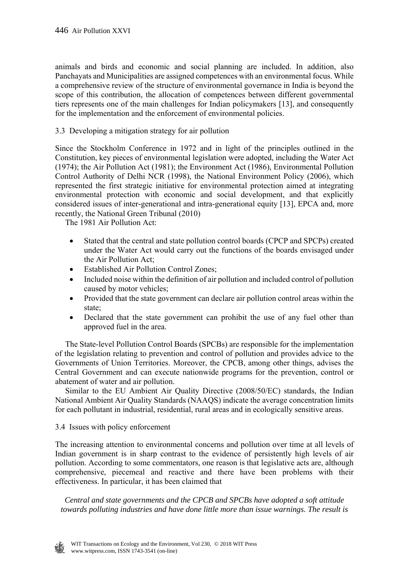animals and birds and economic and social planning are included. In addition, also Panchayats and Municipalities are assigned competences with an environmental focus. While a comprehensive review of the structure of environmental governance in India is beyond the scope of this contribution, the allocation of competences between different governmental tiers represents one of the main challenges for Indian policymakers [13], and consequently for the implementation and the enforcement of environmental policies.

3.3 Developing a mitigation strategy for air pollution

Since the Stockholm Conference in 1972 and in light of the principles outlined in the Constitution, key pieces of environmental legislation were adopted, including the Water Act (1974); the Air Pollution Act (1981); the Environment Act (1986), Environmental Pollution Control Authority of Delhi NCR (1998), the National Environment Policy (2006), which represented the first strategic initiative for environmental protection aimed at integrating environmental protection with economic and social development, and that explicitly considered issues of inter-generational and intra-generational equity [13], EPCA and, more recently, the National Green Tribunal (2010)

The 1981 Air Pollution Act:

- Stated that the central and state pollution control boards (CPCP and SPCPs) created under the Water Act would carry out the functions of the boards envisaged under the Air Pollution Act;
- Established Air Pollution Control Zones;
- Included noise within the definition of air pollution and included control of pollution caused by motor vehicles;
- Provided that the state government can declare air pollution control areas within the state;
- Declared that the state government can prohibit the use of any fuel other than approved fuel in the area.

 The State-level Pollution Control Boards (SPCBs) are responsible for the implementation of the legislation relating to prevention and control of pollution and provides advice to the Governments of Union Territories. Moreover, the CPCB, among other things, advises the Central Government and can execute nationwide programs for the prevention, control or abatement of water and air pollution.

 Similar to the EU Ambient Air Quality Directive (2008/50/EC) standards, the Indian National Ambient Air Quality Standards (NAAQS) indicate the average concentration limits for each pollutant in industrial, residential, rural areas and in ecologically sensitive areas.

# 3.4 Issues with policy enforcement

The increasing attention to environmental concerns and pollution over time at all levels of Indian government is in sharp contrast to the evidence of persistently high levels of air pollution. According to some commentators, one reason is that legislative acts are, although comprehensive, piecemeal and reactive and there have been problems with their effectiveness. In particular, it has been claimed that

*Central and state governments and the CPCB and SPCBs have adopted a soft attitude towards polluting industries and have done little more than issue warnings. The result is* 

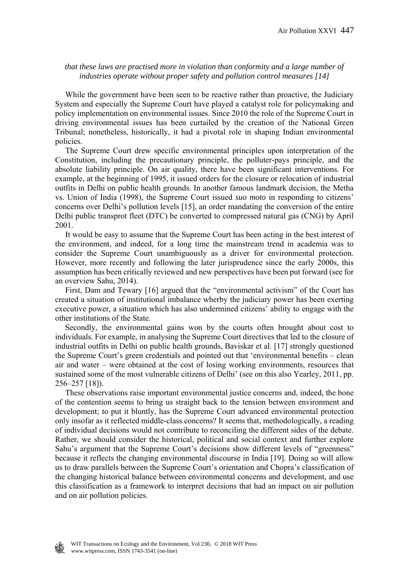# *that these laws are practised more in violation than conformity and a large number of industries operate without proper safety and pollution control measures [14]*

 While the government have been seen to be reactive rather than proactive, the Judiciary System and especially the Supreme Court have played a catalyst role for policymaking and policy implementation on environmental issues. Since 2010 the role of the Supreme Court in driving environmental issues has been curtailed by the creation of the National Green Tribunal; nonetheless, historically, it had a pivotal role in shaping Indian environmental policies.

 The Supreme Court drew specific environmental principles upon interpretation of the Constitution, including the precautionary principle, the polluter-pays principle, and the absolute liability principle. On air quality, there have been significant interventions. For example, at the beginning of 1995, it issued orders for the closure or relocation of industrial outfits in Delhi on public health grounds. In another famous landmark decision, the Metha vs. Union of India (1998), the Supreme Court issued *suo moto* in responding to citizens' concerns over Delhi's pollution levels [15], an order mandating the conversion of the entire Delhi public transprot fleet (DTC) be converted to compressed natural gas (CNG) by April 2001.

 It would be easy to assume that the Supreme Court has been acting in the best interest of the environment, and indeed, for a long time the mainstream trend in academia was to consider the Supreme Court unambiguously as a driver for environmental protection. However, more recently and following the later jurisprudence since the early 2000s, this assumption has been critically reviewed and new perspectives have been put forward (see for an overview Sahu, 2014).

 First, Dam and Tewary [16] argued that the "environmental activism" of the Court has created a situation of institutional imbalance wherby the judiciary power has been exerting executive power, a situation which has also undermined citizens' ability to engage with the other institutions of the State.

 Secondly, the environmental gains won by the courts often brought about cost to individuals. For example, in analysing the Supreme Court directives that led to the closure of industrial outfits in Delhi on public health grounds, Baviskar et al. [17] strongly questioned the Supreme Court's green credentials and pointed out that 'environmental benefits – clean air and water – were obtained at the cost of losing working environments, resources that sustained some of the most vulnerable citizens of Delhi' (see on this also Yearley, 2011, pp. 256–257 [18]).

 These observations raise important environmental justice concerns and, indeed, the bone of the contention seems to bring us straight back to the tension between environment and development; to put it bluntly, has the Supreme Court advanced environmental protection only insofar as it reflected middle-class concerns? It seems that, methodologically, a reading of individual decisions would not contribute to reconciling the different sides of the debate. Rather, we should consider the historical, political and social context and further explore Sahu's argument that the Supreme Court's decisions show different levels of "greenness" because it reflects the changing environmental discourse in India [19]. Doing so will allow us to draw parallels between the Supreme Court's orientation and Chopra's classification of the changing historical balance between environmental concerns and development, and use this classification as a framework to interpret decisions that had an impact on air pollution and on air pollution policies.

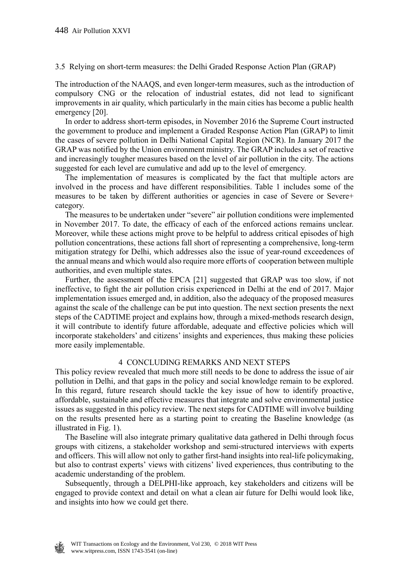#### 3.5 Relying on short-term measures: the Delhi Graded Response Action Plan (GRAP)

The introduction of the NAAQS, and even longer-term measures, such as the introduction of compulsory CNG or the relocation of industrial estates, did not lead to significant improvements in air quality, which particularly in the main cities has become a public health emergency [20].

 In order to address short-term episodes, in November 2016 the Supreme Court instructed the government to produce and implement a Graded Response Action Plan (GRAP) to limit the cases of severe pollution in Delhi National Capital Region (NCR). In January 2017 the GRAP was notified by the Union environment ministry. The GRAP includes a set of reactive and increasingly tougher measures based on the level of air pollution in the city. The actions suggested for each level are cumulative and add up to the level of emergency.

 The implementation of measures is complicated by the fact that multiple actors are involved in the process and have different responsibilities. Table 1 includes some of the measures to be taken by different authorities or agencies in case of Severe or Severe+ category.

 The measures to be undertaken under "severe" air pollution conditions were implemented in November 2017. To date, the efficacy of each of the enforced actions remains unclear. Moreover, while these actions might prove to be helpful to address critical episodes of high pollution concentrations, these actions fall short of representing a comprehensive, long-term mitigation strategy for Delhi, which addresses also the issue of year-round exceedences of the annual means and which would also require more efforts of cooperation between multiple authorities, and even multiple states.

 Further, the assessment of the EPCA [21] suggested that GRAP was too slow, if not ineffective, to fight the air pollution crisis experienced in Delhi at the end of 2017. Major implementation issues emerged and, in addition, also the adequacy of the proposed measures against the scale of the challenge can be put into question. The next section presents the next steps of the CADTIME project and explains how, through a mixed-methods research design, it will contribute to identify future affordable, adequate and effective policies which will incorporate stakeholders' and citizens' insights and experiences, thus making these policies more easily implementable.

### 4 CONCLUDING REMARKS AND NEXT STEPS

This policy review revealed that much more still needs to be done to address the issue of air pollution in Delhi, and that gaps in the policy and social knowledge remain to be explored. In this regard, future research should tackle the key issue of how to identify proactive, affordable, sustainable and effective measures that integrate and solve environmental justice issues as suggested in this policy review. The next steps for CADTIME will involve building on the results presented here as a starting point to creating the Baseline knowledge (as illustrated in Fig. 1).

 The Baseline will also integrate primary qualitative data gathered in Delhi through focus groups with citizens, a stakeholder workshop and semi-structured interviews with experts and officers. This will allow not only to gather first-hand insights into real-life policymaking, but also to contrast experts' views with citizens' lived experiences, thus contributing to the academic understanding of the problem.

 Subsequently, through a DELPHI-like approach, key stakeholders and citizens will be engaged to provide context and detail on what a clean air future for Delhi would look like, and insights into how we could get there.

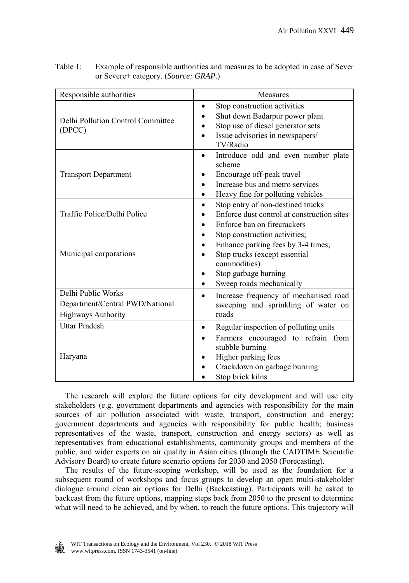| Responsible authorities                                                     | Measures                                                                                                                                                                 |
|-----------------------------------------------------------------------------|--------------------------------------------------------------------------------------------------------------------------------------------------------------------------|
| Delhi Pollution Control Committee<br>(DPCC)                                 | Stop construction activities<br>$\bullet$<br>Shut down Badarpur power plant<br>Stop use of diesel generator sets<br>Issue advisories in newspapers/<br>TV/Radio          |
| <b>Transport Department</b>                                                 | Introduce odd and even number plate<br>$\bullet$<br>scheme<br>Encourage off-peak travel<br>Increase bus and metro services<br>Heavy fine for polluting vehicles          |
| Traffic Police/Delhi Police                                                 | Stop entry of non-destined trucks<br>$\bullet$<br>Enforce dust control at construction sites<br>Enforce ban on firecrackers<br>$\bullet$                                 |
| Municipal corporations                                                      | Stop construction activities;<br>Enhance parking fees by 3-4 times;<br>Stop trucks (except essential<br>commodities)<br>Stop garbage burning<br>Sweep roads mechanically |
| Delhi Public Works<br>Department/Central PWD/National<br>Highways Authority | Increase frequency of mechanised road<br>$\bullet$<br>sweeping and sprinkling of water on<br>roads                                                                       |
| <b>Uttar Pradesh</b>                                                        | Regular inspection of polluting units<br>$\bullet$                                                                                                                       |
| Haryana                                                                     | Farmers encouraged to refrain from<br>٠<br>stubble burning<br>Higher parking fees<br>Crackdown on garbage burning<br>Stop brick kilns                                    |

Table 1: Example of responsible authorities and measures to be adopted in case of Sever or Severe+ category. (*Source: GRAP*.)

 The research will explore the future options for city development and will use city stakeholders (e.g. government departments and agencies with responsibility for the main sources of air pollution associated with waste, transport, construction and energy; government departments and agencies with responsibility for public health; business representatives of the waste, transport, construction and energy sectors) as well as representatives from educational establishments, community groups and members of the public, and wider experts on air quality in Asian cities (through the CADTIME Scientific Advisory Board) to create future scenario options for 2030 and 2050 (Forecasting).

 The results of the future-scoping workshop, will be used as the foundation for a subsequent round of workshops and focus groups to develop an open multi-stakeholder dialogue around clean air options for Delhi (Backcasting). Participants will be asked to backcast from the future options, mapping steps back from 2050 to the present to determine what will need to be achieved, and by when, to reach the future options. This trajectory will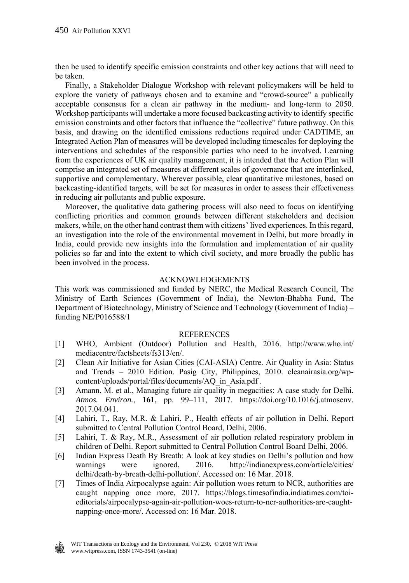then be used to identify specific emission constraints and other key actions that will need to be taken.

 Finally, a Stakeholder Dialogue Workshop with relevant policymakers will be held to explore the variety of pathways chosen and to examine and "crowd-source" a publically acceptable consensus for a clean air pathway in the medium- and long-term to 2050. Workshop participants will undertake a more focused backcasting activity to identify specific emission constraints and other factors that influence the "collective" future pathway. On this basis, and drawing on the identified emissions reductions required under CADTIME, an Integrated Action Plan of measures will be developed including timescales for deploying the interventions and schedules of the responsible parties who need to be involved. Learning from the experiences of UK air quality management, it is intended that the Action Plan will comprise an integrated set of measures at different scales of governance that are interlinked, supportive and complementary. Wherever possible, clear quantitative milestones, based on backcasting-identified targets, will be set for measures in order to assess their effectiveness in reducing air pollutants and public exposure.

 Moreover, the qualitative data gathering process will also need to focus on identifying conflicting priorities and common grounds between different stakeholders and decision makers, while, on the other hand contrast them with citizens' lived experiences. In this regard, an investigation into the role of the environmental movement in Delhi, but more broadly in India, could provide new insights into the formulation and implementation of air quality policies so far and into the extent to which civil society, and more broadly the public has been involved in the process.

#### ACKNOWLEDGEMENTS

This work was commissioned and funded by NERC, the Medical Research Council, The Ministry of Earth Sciences (Government of India), the Newton-Bhabha Fund, The Department of Biotechnology, Ministry of Science and Technology (Government of India) – funding NE/P016588/1

#### REFERENCES

- [1] WHO, Ambient (Outdoor) Pollution and Health, 2016. http://www.who.int/ mediacentre/factsheets/fs313/en/.
- [2] Clean Air Initiative for Asian Cities (CAI-ASIA) Centre. Air Quality in Asia: Status and Trends – 2010 Edition. Pasig City, Philippines, 2010. cleanairasia.org/wpcontent/uploads/portal/files/documents/AQ\_in\_Asia.pdf .
- [3] Amann, M. et al., Managing future air quality in megacities: A case study for Delhi. *Atmos. Environ.*, **161**, pp. 99–111, 2017. https://doi.org/10.1016/j.atmosenv. 2017.04.041.
- [4] Lahiri, T., Ray, M.R. & Lahiri, P., Health effects of air pollution in Delhi. Report submitted to Central Pollution Control Board, Delhi, 2006.
- [5] Lahiri, T. & Ray, M.R., Assessment of air pollution related respiratory problem in children of Delhi. Report submitted to Central Pollution Control Board Delhi, 2006.
- [6] Indian Express Death By Breath: A look at key studies on Delhi's pollution and how warnings were ignored, 2016. http://indianexpress.com/article/cities/ delhi/death-by-breath-delhi-pollution/. Accessed on: 16 Mar. 2018.
- [7] Times of India Airpocalypse again: Air pollution woes return to NCR, authorities are caught napping once more, 2017. https://blogs.timesofindia.indiatimes.com/toieditorials/airpocalypse-again-air-pollution-woes-return-to-ncr-authorities-are-caughtnapping-once-more/. Accessed on: 16 Mar. 2018.